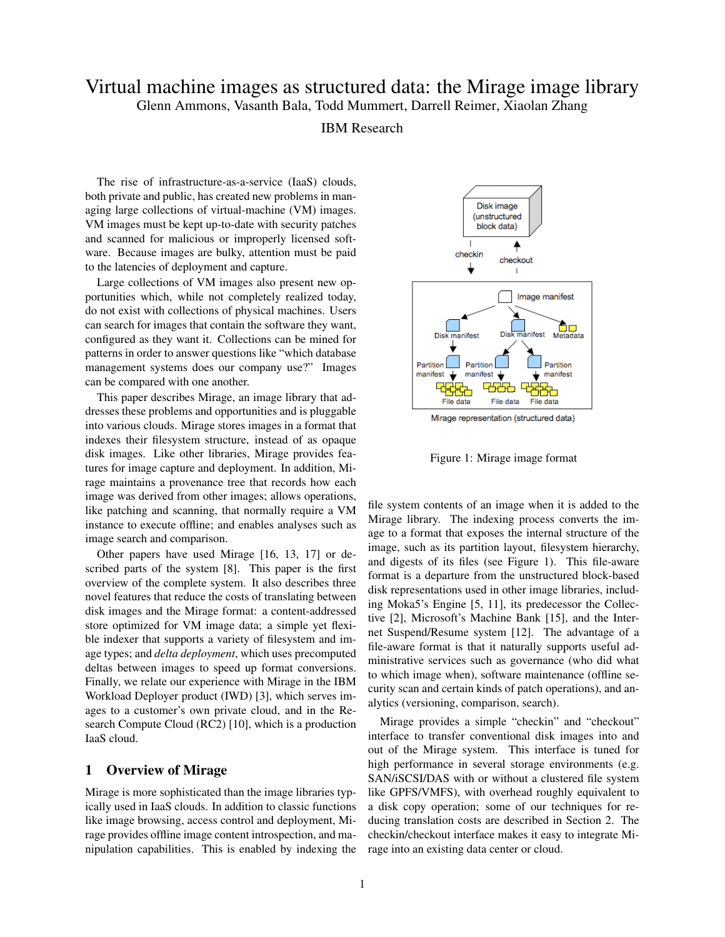# Virtual machine images as structured data: the Mirage image library Glenn Ammons, Vasanth Bala, Todd Mummert, Darrell Reimer, Xiaolan Zhang

#### IBM Research

The rise of infrastructure-as-a-service (IaaS) clouds, both private and public, has created new problems in managing large collections of virtual-machine (VM) images. VM images must be kept up-to-date with security patches and scanned for malicious or improperly licensed software. Because images are bulky, attention must be paid to the latencies of deployment and capture.

Large collections of VM images also present new opportunities which, while not completely realized today, do not exist with collections of physical machines. Users can search for images that contain the software they want, configured as they want it. Collections can be mined for patterns in order to answer questions like "which database management systems does our company use?" Images can be compared with one another.

This paper describes Mirage, an image library that addresses these problems and opportunities and is pluggable into various clouds. Mirage stores images in a format that indexes their filesystem structure, instead of as opaque disk images. Like other libraries, Mirage provides features for image capture and deployment. In addition, Mirage maintains a provenance tree that records how each image was derived from other images; allows operations, like patching and scanning, that normally require a VM instance to execute offline; and enables analyses such as image search and comparison.

Other papers have used Mirage [16, 13, 17] or described parts of the system [8]. This paper is the first overview of the complete system. It also describes three novel features that reduce the costs of translating between disk images and the Mirage format: a content-addressed store optimized for VM image data; a simple yet flexible indexer that supports a variety of filesystem and image types; and *delta deployment*, which uses precomputed deltas between images to speed up format conversions. Finally, we relate our experience with Mirage in the IBM Workload Deployer product (IWD) [3], which serves images to a customer's own private cloud, and in the Research Compute Cloud (RC2) [10], which is a production IaaS cloud.

#### 1 Overview of Mirage

Mirage is more sophisticated than the image libraries typically used in IaaS clouds. In addition to classic functions like image browsing, access control and deployment, Mirage provides offline image content introspection, and manipulation capabilities. This is enabled by indexing the



Mirage representation (structured data)

Figure 1: Mirage image format

file system contents of an image when it is added to the Mirage library. The indexing process converts the image to a format that exposes the internal structure of the image, such as its partition layout, filesystem hierarchy, and digests of its files (see Figure 1). This file-aware format is a departure from the unstructured block-based disk representations used in other image libraries, including Moka5's Engine [5, 11], its predecessor the Collective [2], Microsoft's Machine Bank [15], and the Internet Suspend/Resume system [12]. The advantage of a file-aware format is that it naturally supports useful administrative services such as governance (who did what to which image when), software maintenance (offline security scan and certain kinds of patch operations), and analytics (versioning, comparison, search).

Mirage provides a simple "checkin" and "checkout" interface to transfer conventional disk images into and out of the Mirage system. This interface is tuned for high performance in several storage environments (e.g. SAN/iSCSI/DAS with or without a clustered file system like GPFS/VMFS), with overhead roughly equivalent to a disk copy operation; some of our techniques for reducing translation costs are described in Section 2. The checkin/checkout interface makes it easy to integrate Mirage into an existing data center or cloud.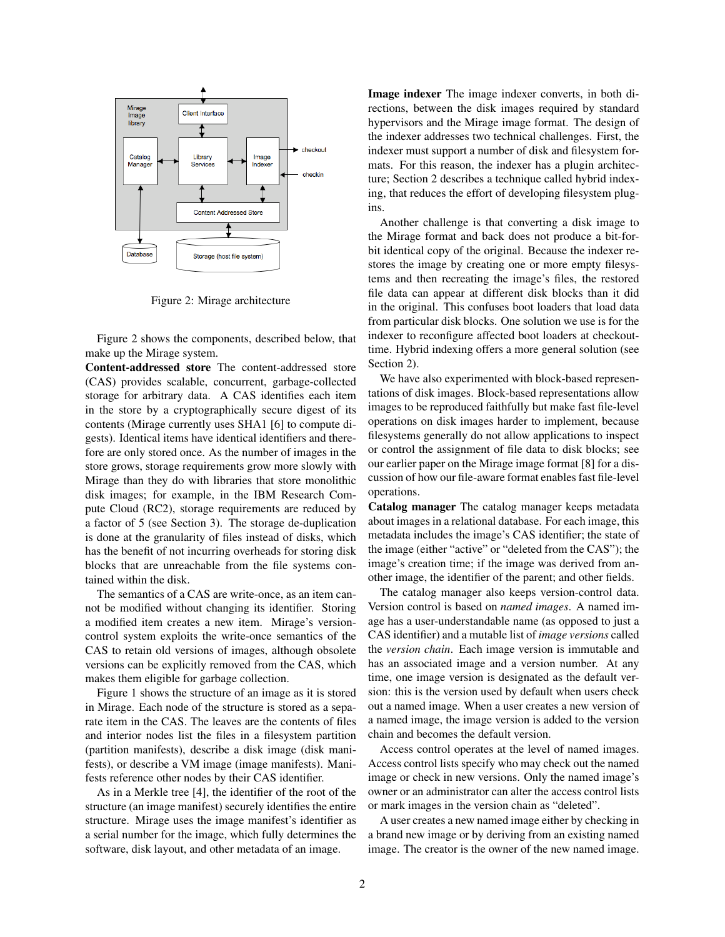

Figure 2: Mirage architecture

Figure 2 shows the components, described below, that make up the Mirage system.

Content-addressed store The content-addressed store (CAS) provides scalable, concurrent, garbage-collected storage for arbitrary data. A CAS identifies each item in the store by a cryptographically secure digest of its contents (Mirage currently uses SHA1 [6] to compute digests). Identical items have identical identifiers and therefore are only stored once. As the number of images in the store grows, storage requirements grow more slowly with Mirage than they do with libraries that store monolithic disk images; for example, in the IBM Research Compute Cloud (RC2), storage requirements are reduced by a factor of 5 (see Section 3). The storage de-duplication is done at the granularity of files instead of disks, which has the benefit of not incurring overheads for storing disk blocks that are unreachable from the file systems contained within the disk.

The semantics of a CAS are write-once, as an item cannot be modified without changing its identifier. Storing a modified item creates a new item. Mirage's versioncontrol system exploits the write-once semantics of the CAS to retain old versions of images, although obsolete versions can be explicitly removed from the CAS, which makes them eligible for garbage collection.

Figure 1 shows the structure of an image as it is stored in Mirage. Each node of the structure is stored as a separate item in the CAS. The leaves are the contents of files and interior nodes list the files in a filesystem partition (partition manifests), describe a disk image (disk manifests), or describe a VM image (image manifests). Manifests reference other nodes by their CAS identifier.

As in a Merkle tree [4], the identifier of the root of the structure (an image manifest) securely identifies the entire structure. Mirage uses the image manifest's identifier as a serial number for the image, which fully determines the software, disk layout, and other metadata of an image.

Image indexer The image indexer converts, in both directions, between the disk images required by standard hypervisors and the Mirage image format. The design of the indexer addresses two technical challenges. First, the indexer must support a number of disk and filesystem formats. For this reason, the indexer has a plugin architecture; Section 2 describes a technique called hybrid indexing, that reduces the effort of developing filesystem plugins.

Another challenge is that converting a disk image to the Mirage format and back does not produce a bit-forbit identical copy of the original. Because the indexer restores the image by creating one or more empty filesystems and then recreating the image's files, the restored file data can appear at different disk blocks than it did in the original. This confuses boot loaders that load data from particular disk blocks. One solution we use is for the indexer to reconfigure affected boot loaders at checkouttime. Hybrid indexing offers a more general solution (see Section 2).

We have also experimented with block-based representations of disk images. Block-based representations allow images to be reproduced faithfully but make fast file-level operations on disk images harder to implement, because filesystems generally do not allow applications to inspect or control the assignment of file data to disk blocks; see our earlier paper on the Mirage image format [8] for a discussion of how our file-aware format enables fast file-level operations.

Catalog manager The catalog manager keeps metadata about images in a relational database. For each image, this metadata includes the image's CAS identifier; the state of the image (either "active" or "deleted from the CAS"); the image's creation time; if the image was derived from another image, the identifier of the parent; and other fields.

The catalog manager also keeps version-control data. Version control is based on *named images*. A named image has a user-understandable name (as opposed to just a CAS identifier) and a mutable list of *image versions* called the *version chain*. Each image version is immutable and has an associated image and a version number. At any time, one image version is designated as the default version: this is the version used by default when users check out a named image. When a user creates a new version of a named image, the image version is added to the version chain and becomes the default version.

Access control operates at the level of named images. Access control lists specify who may check out the named image or check in new versions. Only the named image's owner or an administrator can alter the access control lists or mark images in the version chain as "deleted".

A user creates a new named image either by checking in a brand new image or by deriving from an existing named image. The creator is the owner of the new named image.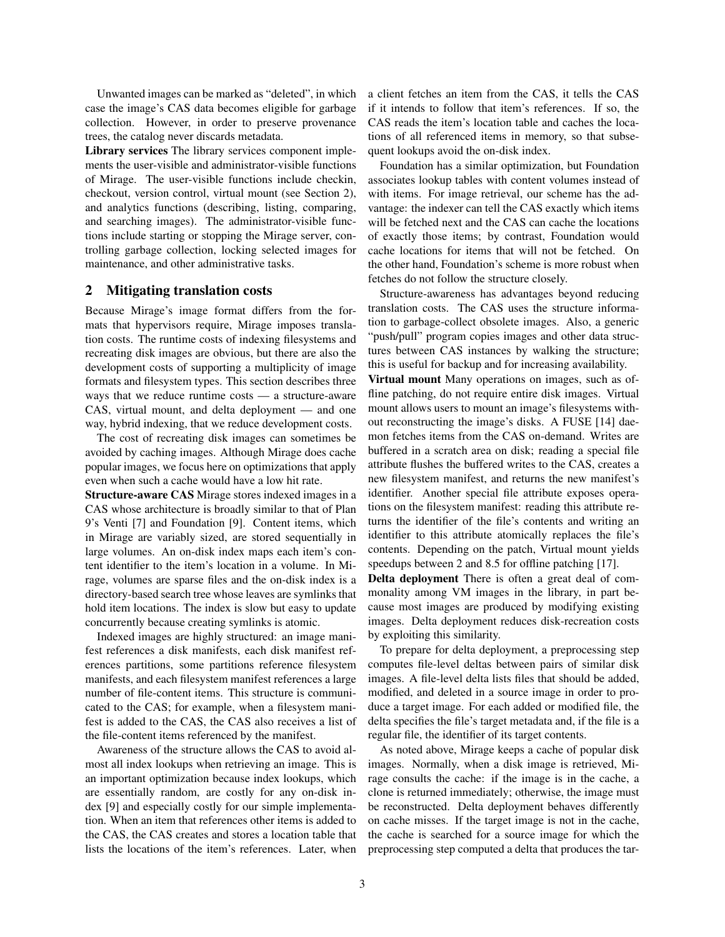Unwanted images can be marked as "deleted", in which case the image's CAS data becomes eligible for garbage collection. However, in order to preserve provenance trees, the catalog never discards metadata.

Library services The library services component implements the user-visible and administrator-visible functions of Mirage. The user-visible functions include checkin, checkout, version control, virtual mount (see Section 2), and analytics functions (describing, listing, comparing, and searching images). The administrator-visible functions include starting or stopping the Mirage server, controlling garbage collection, locking selected images for maintenance, and other administrative tasks.

#### 2 Mitigating translation costs

Because Mirage's image format differs from the formats that hypervisors require, Mirage imposes translation costs. The runtime costs of indexing filesystems and recreating disk images are obvious, but there are also the development costs of supporting a multiplicity of image formats and filesystem types. This section describes three ways that we reduce runtime costs — a structure-aware CAS, virtual mount, and delta deployment — and one way, hybrid indexing, that we reduce development costs.

The cost of recreating disk images can sometimes be avoided by caching images. Although Mirage does cache popular images, we focus here on optimizations that apply even when such a cache would have a low hit rate.

Structure-aware CAS Mirage stores indexed images in a CAS whose architecture is broadly similar to that of Plan 9's Venti [7] and Foundation [9]. Content items, which in Mirage are variably sized, are stored sequentially in large volumes. An on-disk index maps each item's content identifier to the item's location in a volume. In Mirage, volumes are sparse files and the on-disk index is a directory-based search tree whose leaves are symlinks that hold item locations. The index is slow but easy to update concurrently because creating symlinks is atomic.

Indexed images are highly structured: an image manifest references a disk manifests, each disk manifest references partitions, some partitions reference filesystem manifests, and each filesystem manifest references a large number of file-content items. This structure is communicated to the CAS; for example, when a filesystem manifest is added to the CAS, the CAS also receives a list of the file-content items referenced by the manifest.

Awareness of the structure allows the CAS to avoid almost all index lookups when retrieving an image. This is an important optimization because index lookups, which are essentially random, are costly for any on-disk index [9] and especially costly for our simple implementation. When an item that references other items is added to the CAS, the CAS creates and stores a location table that lists the locations of the item's references. Later, when a client fetches an item from the CAS, it tells the CAS if it intends to follow that item's references. If so, the CAS reads the item's location table and caches the locations of all referenced items in memory, so that subsequent lookups avoid the on-disk index.

Foundation has a similar optimization, but Foundation associates lookup tables with content volumes instead of with items. For image retrieval, our scheme has the advantage: the indexer can tell the CAS exactly which items will be fetched next and the CAS can cache the locations of exactly those items; by contrast, Foundation would cache locations for items that will not be fetched. On the other hand, Foundation's scheme is more robust when fetches do not follow the structure closely.

Structure-awareness has advantages beyond reducing translation costs. The CAS uses the structure information to garbage-collect obsolete images. Also, a generic "push/pull" program copies images and other data structures between CAS instances by walking the structure; this is useful for backup and for increasing availability.

Virtual mount Many operations on images, such as offline patching, do not require entire disk images. Virtual mount allows users to mount an image's filesystems without reconstructing the image's disks. A FUSE [14] daemon fetches items from the CAS on-demand. Writes are buffered in a scratch area on disk; reading a special file attribute flushes the buffered writes to the CAS, creates a new filesystem manifest, and returns the new manifest's identifier. Another special file attribute exposes operations on the filesystem manifest: reading this attribute returns the identifier of the file's contents and writing an identifier to this attribute atomically replaces the file's contents. Depending on the patch, Virtual mount yields speedups between 2 and 8.5 for offline patching [17].

Delta deployment There is often a great deal of commonality among VM images in the library, in part because most images are produced by modifying existing images. Delta deployment reduces disk-recreation costs by exploiting this similarity.

To prepare for delta deployment, a preprocessing step computes file-level deltas between pairs of similar disk images. A file-level delta lists files that should be added, modified, and deleted in a source image in order to produce a target image. For each added or modified file, the delta specifies the file's target metadata and, if the file is a regular file, the identifier of its target contents.

As noted above, Mirage keeps a cache of popular disk images. Normally, when a disk image is retrieved, Mirage consults the cache: if the image is in the cache, a clone is returned immediately; otherwise, the image must be reconstructed. Delta deployment behaves differently on cache misses. If the target image is not in the cache, the cache is searched for a source image for which the preprocessing step computed a delta that produces the tar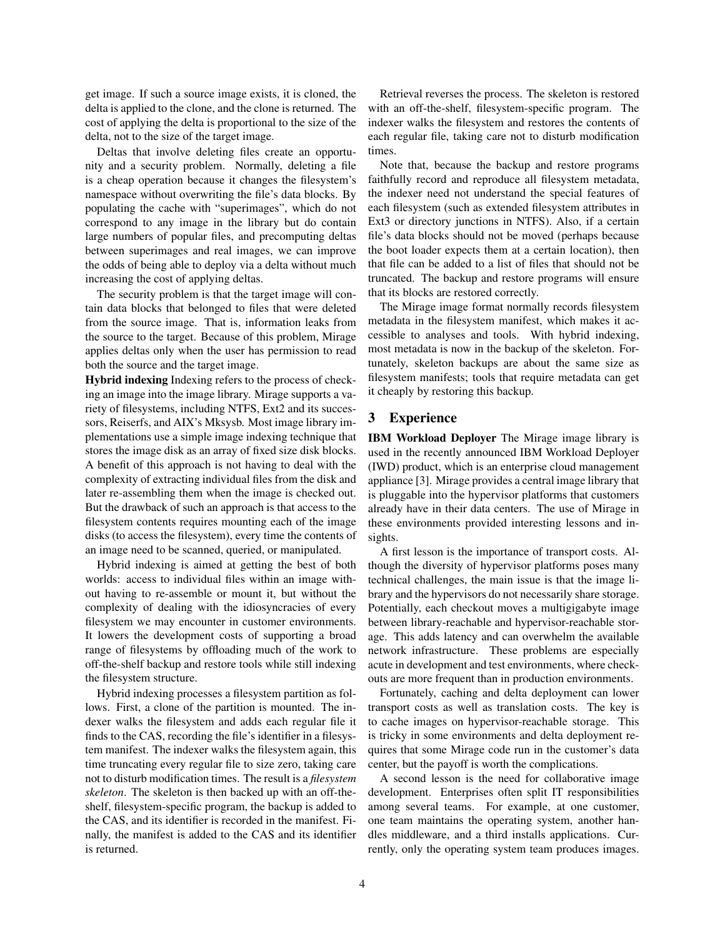get image. If such a source image exists, it is cloned, the delta is applied to the clone, and the clone is returned. The cost of applying the delta is proportional to the size of the delta, not to the size of the target image.

Deltas that involve deleting files create an opportunity and a security problem. Normally, deleting a file is a cheap operation because it changes the filesystem's namespace without overwriting the file's data blocks. By populating the cache with "superimages", which do not correspond to any image in the library but do contain large numbers of popular files, and precomputing deltas between superimages and real images, we can improve the odds of being able to deploy via a delta without much increasing the cost of applying deltas.

The security problem is that the target image will contain data blocks that belonged to files that were deleted from the source image. That is, information leaks from the source to the target. Because of this problem, Mirage applies deltas only when the user has permission to read both the source and the target image.

Hybrid indexing Indexing refers to the process of checking an image into the image library. Mirage supports a variety of filesystems, including NTFS, Ext2 and its successors, Reiserfs, and AIX's Mksysb. Most image library implementations use a simple image indexing technique that stores the image disk as an array of fixed size disk blocks. A benefit of this approach is not having to deal with the complexity of extracting individual files from the disk and later re-assembling them when the image is checked out. But the drawback of such an approach is that access to the filesystem contents requires mounting each of the image disks (to access the filesystem), every time the contents of an image need to be scanned, queried, or manipulated.

Hybrid indexing is aimed at getting the best of both worlds: access to individual files within an image without having to re-assemble or mount it, but without the complexity of dealing with the idiosyncracies of every filesystem we may encounter in customer environments. It lowers the development costs of supporting a broad range of filesystems by offloading much of the work to off-the-shelf backup and restore tools while still indexing the filesystem structure.

Hybrid indexing processes a filesystem partition as follows. First, a clone of the partition is mounted. The indexer walks the filesystem and adds each regular file it finds to the CAS, recording the file's identifier in a filesystem manifest. The indexer walks the filesystem again, this time truncating every regular file to size zero, taking care not to disturb modification times. The result is a *filesystem skeleton*. The skeleton is then backed up with an off-theshelf, filesystem-specific program, the backup is added to the CAS, and its identifier is recorded in the manifest. Finally, the manifest is added to the CAS and its identifier is returned.

Retrieval reverses the process. The skeleton is restored with an off-the-shelf, filesystem-specific program. The indexer walks the filesystem and restores the contents of each regular file, taking care not to disturb modification times.

Note that, because the backup and restore programs faithfully record and reproduce all filesystem metadata, the indexer need not understand the special features of each filesystem (such as extended filesystem attributes in Ext3 or directory junctions in NTFS). Also, if a certain file's data blocks should not be moved (perhaps because the boot loader expects them at a certain location), then that file can be added to a list of files that should not be truncated. The backup and restore programs will ensure that its blocks are restored correctly.

The Mirage image format normally records filesystem metadata in the filesystem manifest, which makes it accessible to analyses and tools. With hybrid indexing, most metadata is now in the backup of the skeleton. Fortunately, skeleton backups are about the same size as filesystem manifests; tools that require metadata can get it cheaply by restoring this backup.

# 3 Experience

IBM Workload Deployer The Mirage image library is used in the recently announced IBM Workload Deployer (IWD) product, which is an enterprise cloud management appliance [3]. Mirage provides a central image library that is pluggable into the hypervisor platforms that customers already have in their data centers. The use of Mirage in these environments provided interesting lessons and insights.

A first lesson is the importance of transport costs. Although the diversity of hypervisor platforms poses many technical challenges, the main issue is that the image library and the hypervisors do not necessarily share storage. Potentially, each checkout moves a multigigabyte image between library-reachable and hypervisor-reachable storage. This adds latency and can overwhelm the available network infrastructure. These problems are especially acute in development and test environments, where checkouts are more frequent than in production environments.

Fortunately, caching and delta deployment can lower transport costs as well as translation costs. The key is to cache images on hypervisor-reachable storage. This is tricky in some environments and delta deployment requires that some Mirage code run in the customer's data center, but the payoff is worth the complications.

A second lesson is the need for collaborative image development. Enterprises often split IT responsibilities among several teams. For example, at one customer, one team maintains the operating system, another handles middleware, and a third installs applications. Currently, only the operating system team produces images.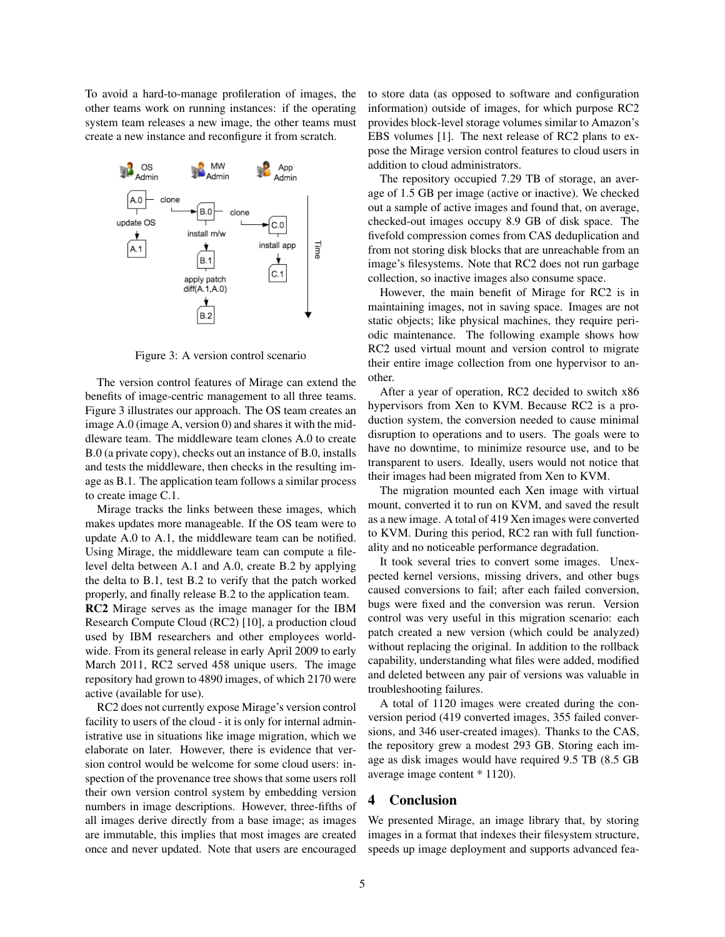To avoid a hard-to-manage profileration of images, the other teams work on running instances: if the operating system team releases a new image, the other teams must create a new instance and reconfigure it from scratch.



Figure 3: A version control scenario

The version control features of Mirage can extend the benefits of image-centric management to all three teams. Figure 3 illustrates our approach. The OS team creates an image A.0 (image A, version 0) and shares it with the middleware team. The middleware team clones A.0 to create B.0 (a private copy), checks out an instance of B.0, installs and tests the middleware, then checks in the resulting image as B.1. The application team follows a similar process to create image C.1.

Mirage tracks the links between these images, which makes updates more manageable. If the OS team were to update A.0 to A.1, the middleware team can be notified. Using Mirage, the middleware team can compute a filelevel delta between A.1 and A.0, create B.2 by applying the delta to B.1, test B.2 to verify that the patch worked properly, and finally release B.2 to the application team.

RC2 Mirage serves as the image manager for the IBM Research Compute Cloud (RC2) [10], a production cloud used by IBM researchers and other employees worldwide. From its general release in early April 2009 to early March 2011, RC2 served 458 unique users. The image repository had grown to 4890 images, of which 2170 were active (available for use).

RC2 does not currently expose Mirage's version control facility to users of the cloud - it is only for internal administrative use in situations like image migration, which we elaborate on later. However, there is evidence that version control would be welcome for some cloud users: inspection of the provenance tree shows that some users roll their own version control system by embedding version numbers in image descriptions. However, three-fifths of all images derive directly from a base image; as images are immutable, this implies that most images are created once and never updated. Note that users are encouraged to store data (as opposed to software and configuration information) outside of images, for which purpose RC2 provides block-level storage volumes similar to Amazon's EBS volumes [1]. The next release of RC2 plans to expose the Mirage version control features to cloud users in addition to cloud administrators.

The repository occupied 7.29 TB of storage, an average of 1.5 GB per image (active or inactive). We checked out a sample of active images and found that, on average, checked-out images occupy 8.9 GB of disk space. The fivefold compression comes from CAS deduplication and from not storing disk blocks that are unreachable from an image's filesystems. Note that RC2 does not run garbage collection, so inactive images also consume space.

However, the main benefit of Mirage for RC2 is in maintaining images, not in saving space. Images are not static objects; like physical machines, they require periodic maintenance. The following example shows how RC2 used virtual mount and version control to migrate their entire image collection from one hypervisor to another.

After a year of operation, RC2 decided to switch x86 hypervisors from Xen to KVM. Because RC2 is a production system, the conversion needed to cause minimal disruption to operations and to users. The goals were to have no downtime, to minimize resource use, and to be transparent to users. Ideally, users would not notice that their images had been migrated from Xen to KVM.

The migration mounted each Xen image with virtual mount, converted it to run on KVM, and saved the result as a new image. A total of 419 Xen images were converted to KVM. During this period, RC2 ran with full functionality and no noticeable performance degradation.

It took several tries to convert some images. Unexpected kernel versions, missing drivers, and other bugs caused conversions to fail; after each failed conversion, bugs were fixed and the conversion was rerun. Version control was very useful in this migration scenario: each patch created a new version (which could be analyzed) without replacing the original. In addition to the rollback capability, understanding what files were added, modified and deleted between any pair of versions was valuable in troubleshooting failures.

A total of 1120 images were created during the conversion period (419 converted images, 355 failed conversions, and 346 user-created images). Thanks to the CAS, the repository grew a modest 293 GB. Storing each image as disk images would have required 9.5 TB (8.5 GB average image content \* 1120).

## 4 Conclusion

We presented Mirage, an image library that, by storing images in a format that indexes their filesystem structure, speeds up image deployment and supports advanced fea